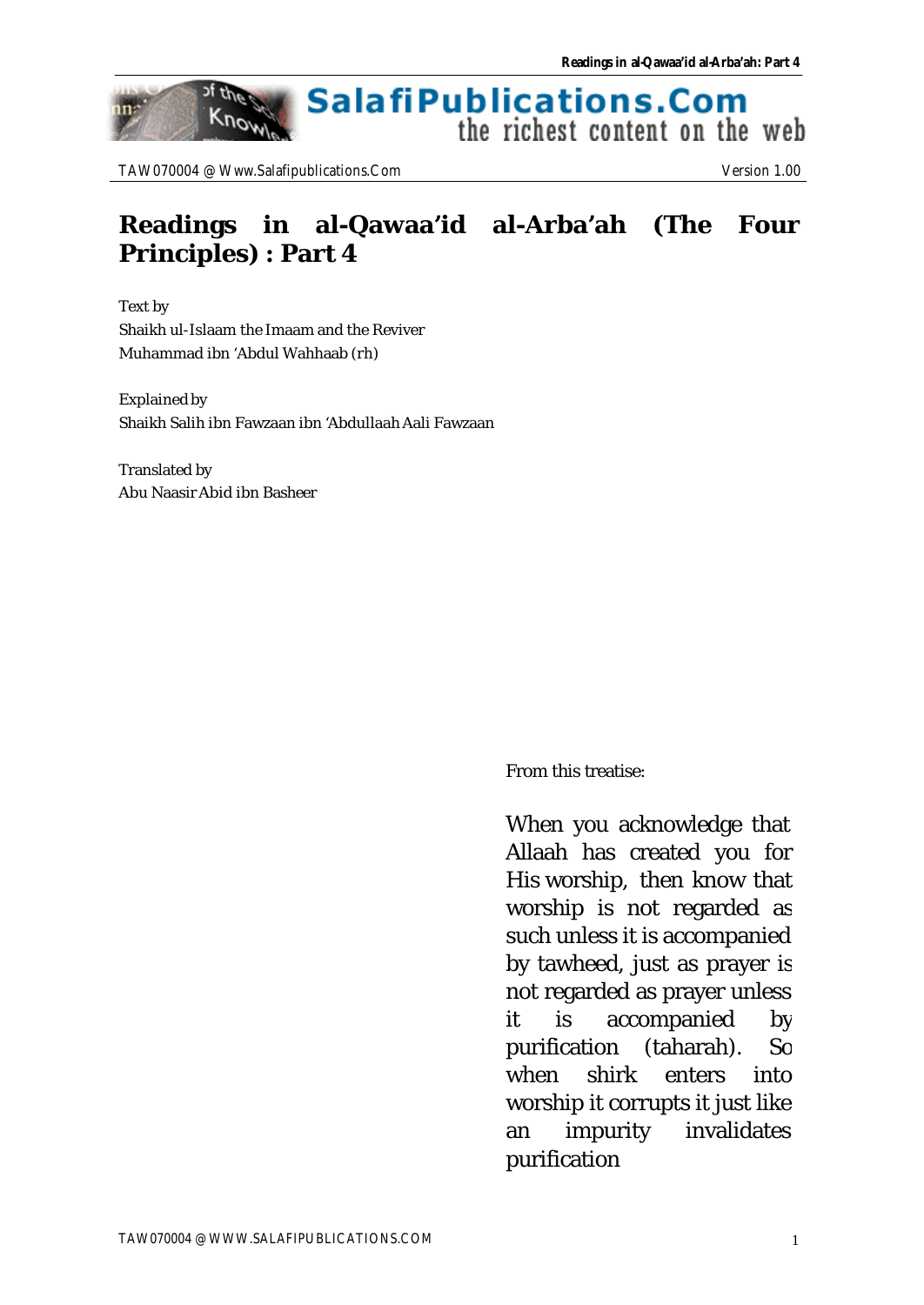#### **SalafiPublications.Com** Know the richest content on the web

TAW070004 @ Www.Salafipublications.Com Version 1.00

of the

nn:

## **Readings in al-Qawaa'id al-Arba'ah (The Four Principles) : Part 4**

Text by Shaikh ul-Islaam the Imaam and the Reviver Muhammad ibn 'Abdul Wahhaab (rh)

Explained by Shaikh Salih ibn Fawzaan ibn 'Abdullaah Aali Fawzaan

Translated by Abu Naasir Abid ibn Basheer

From this treatise:

When you acknowledge that Allaah has created you for His worship, then know that worship is not regarded as such unless it is accompanied by tawheed, just as prayer is not regarded as prayer unless it is accompanied by purification (taharah). So when shirk enters into worship it corrupts it just like an impurity invalidates purification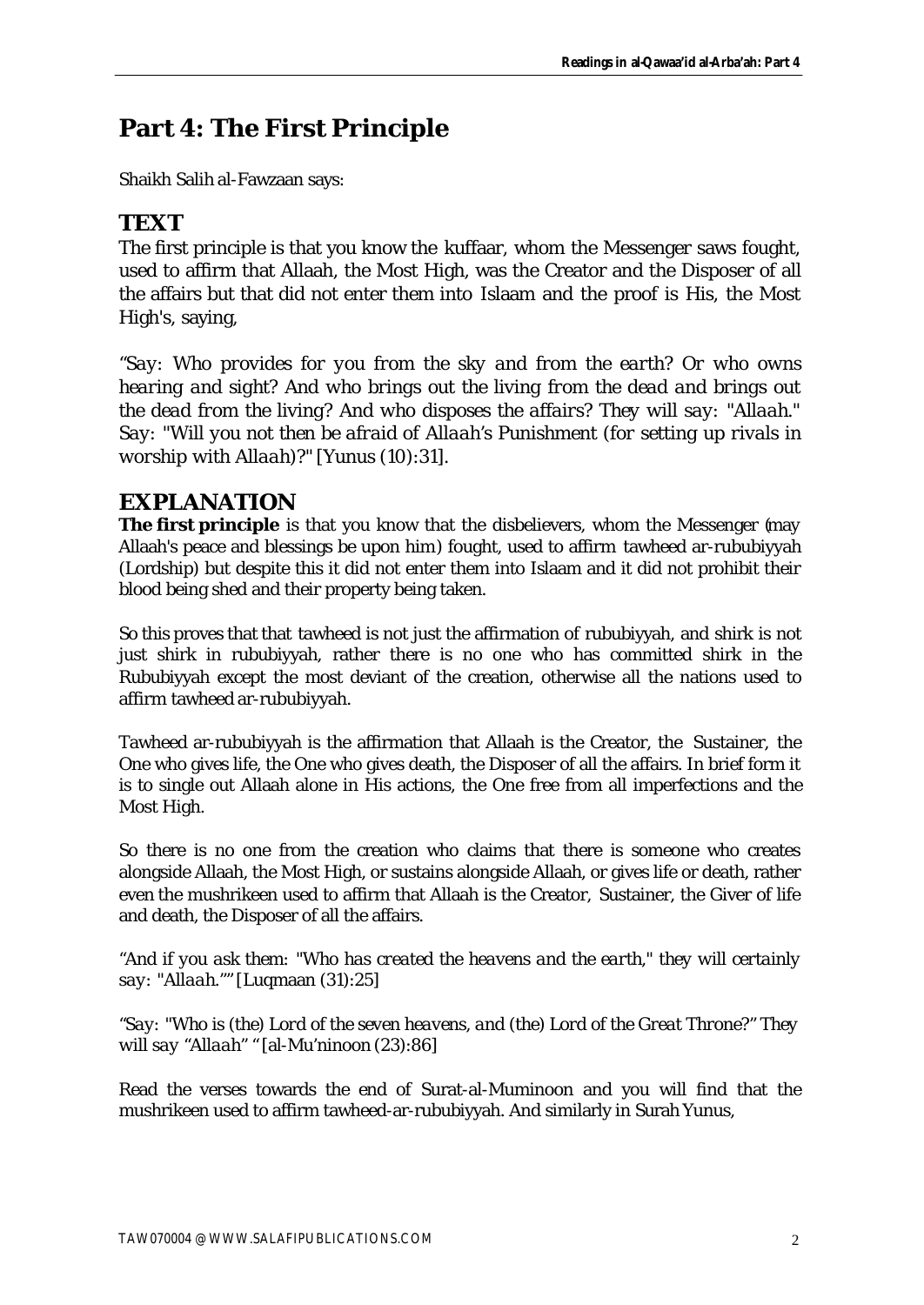# **Part 4: The First Principle**

Shaikh Salih al-Fawzaan says:

### **TEXT**

The first principle is that you know the kuffaar, whom the Messenger saws fought, used to affirm that Allaah, the Most High, was the Creator and the Disposer of all the affairs but that did not enter them into Islaam and the proof is His, the Most High's, saying,

*"Say: Who provides for you from the sky and from the earth? Or who owns hearing and sight? And who brings out the living from the dead and brings out the dead from the living? And who disposes the affairs? They will say: "Allaah." Say: "Will you not then be afraid of Allaah's Punishment (for setting up rivals in worship with Allaah)?"* [Yunus (10):31].

### **EXPLANATION**

**The first principle** is that you know that the disbelievers, whom the Messenger (may Allaah's peace and blessings be upon him) fought, used to affirm tawheed ar-rububiyyah (Lordship) but despite this it did not enter them into Islaam and it did not prohibit their blood being shed and their property being taken.

So this proves that that tawheed is not just the affirmation of rububiyyah, and shirk is not just shirk in rububiyyah, rather there is no one who has committed shirk in the Rububiyyah except the most deviant of the creation, otherwise all the nations used to affirm tawheed ar-rububiyyah.

Tawheed ar-rububiyyah is the affirmation that Allaah is the Creator, the Sustainer, the One who gives life, the One who gives death, the Disposer of all the affairs. In brief form it is to single out Allaah alone in His actions, the One free from all imperfections and the Most High.

So there is no one from the creation who claims that there is someone who creates alongside Allaah, the Most High, or sustains alongside Allaah, or gives life or death, rather even the mushrikeen used to affirm that Allaah is the Creator, Sustainer, the Giver of life and death, the Disposer of all the affairs.

*"And if you ask them: "Who has created the heavens and the earth," they will certainly say: "Allaah.""* [Luqmaan (31):25]

*"Say: "Who is (the) Lord of the seven heavens, and (the) Lord of the Great Throne?" They will say "Allaah" "* [al-Mu'ninoon (23):86]

Read the verses towards the end of Surat-al-Muminoon and you will find that the mushrikeen used to affirm tawheed-ar-rububiyyah. And similarly in Surah Yunus,